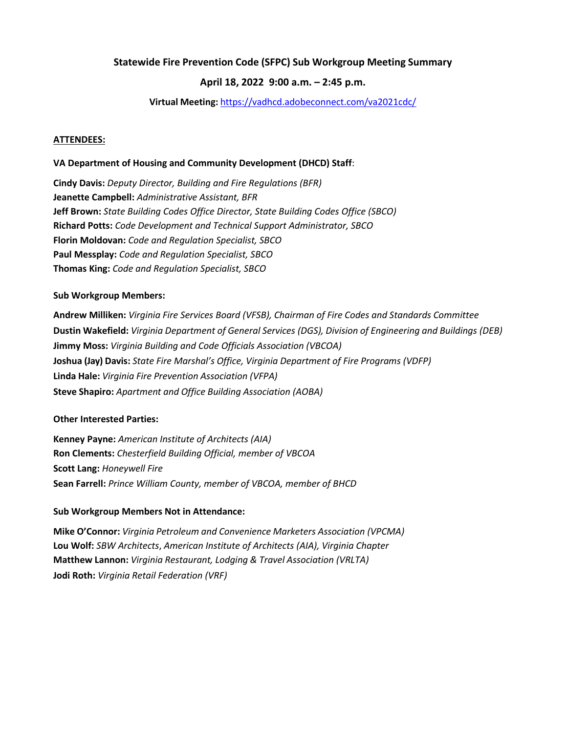## **Statewide Fire Prevention Code (SFPC) Sub Workgroup Meeting Summary**

## **April 18, 2022 9:00 a.m. – 2:45 p.m.**

### **Virtual Meeting:** <https://vadhcd.adobeconnect.com/va2021cdc/>

### **ATTENDEES:**

### **VA Department of Housing and Community Development (DHCD) Staff**:

**Cindy Davis:** *Deputy Director, Building and Fire Regulations (BFR)* **Jeanette Campbell:** *Administrative Assistant, BFR* **Jeff Brown:** *State Building Codes Office Director, State Building Codes Office (SBCO)* **Richard Potts:** *Code Development and Technical Support Administrator, SBCO* **Florin Moldovan:** *Code and Regulation Specialist, SBCO* **Paul Messplay:** *Code and Regulation Specialist, SBCO* **Thomas King:** *Code and Regulation Specialist, SBCO*

### **Sub Workgroup Members:**

**Andrew Milliken:** *Virginia Fire Services Board (VFSB), Chairman of Fire Codes and Standards Committee* **Dustin Wakefield:** *Virginia Department of General Services (DGS), Division of Engineering and Buildings (DEB)* **Jimmy Moss:** *Virginia Building and Code Officials Association (VBCOA)* **Joshua (Jay) Davis:** *State Fire Marshal's Office, Virginia Department of Fire Programs (VDFP)* **Linda Hale:** *Virginia Fire Prevention Association (VFPA)* **Steve Shapiro:** *Apartment and Office Building Association (AOBA)*

### **Other Interested Parties:**

**Kenney Payne:** *American Institute of Architects (AIA)* **Ron Clements:** *Chesterfield Building Official, member of VBCOA* **Scott Lang:** *Honeywell Fire* **Sean Farrell:** *Prince William County, member of VBCOA, member of BHCD*

#### **Sub Workgroup Members Not in Attendance:**

**Mike O'Connor:** *Virginia Petroleum and Convenience Marketers Association (VPCMA)* **Lou Wolf:** *SBW Architects*, *American Institute of Architects (AIA), Virginia Chapter* **Matthew Lannon:** *Virginia Restaurant, Lodging & Travel Association (VRLTA)* **Jodi Roth:** *Virginia Retail Federation (VRF)*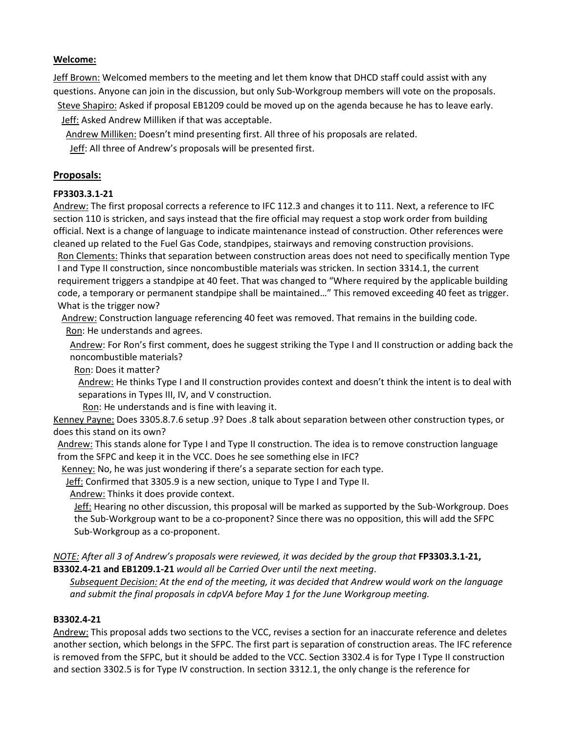# **Welcome:**

Jeff Brown: Welcomed members to the meeting and let them know that DHCD staff could assist with any questions. Anyone can join in the discussion, but only Sub-Workgroup members will vote on the proposals.

Steve Shapiro: Asked if proposal EB1209 could be moved up on the agenda because he has to leave early. Jeff: Asked Andrew Milliken if that was acceptable.

Andrew Milliken: Doesn't mind presenting first. All three of his proposals are related.

Jeff: All three of Andrew's proposals will be presented first.

# **Proposals:**

# **FP3303.3.1-21**

Andrew: The first proposal corrects a reference to IFC 112.3 and changes it to 111. Next, a reference to IFC section 110 is stricken, and says instead that the fire official may request a stop work order from building official. Next is a change of language to indicate maintenance instead of construction. Other references were cleaned up related to the Fuel Gas Code, standpipes, stairways and removing construction provisions.

Ron Clements: Thinks that separation between construction areas does not need to specifically mention Type I and Type II construction, since noncombustible materials was stricken. In section 3314.1, the current requirement triggers a standpipe at 40 feet. That was changed to "Where required by the applicable building code, a temporary or permanent standpipe shall be maintained…" This removed exceeding 40 feet as trigger. What is the trigger now?

Andrew: Construction language referencing 40 feet was removed. That remains in the building code. Ron: He understands and agrees.

Andrew: For Ron's first comment, does he suggest striking the Type I and II construction or adding back the noncombustible materials?

Ron: Does it matter?

Andrew: He thinks Type I and II construction provides context and doesn't think the intent is to deal with separations in Types III, IV, and V construction.

Ron: He understands and is fine with leaving it.

Kenney Payne: Does 3305.8.7.6 setup .9? Does .8 talk about separation between other construction types, or does this stand on its own?

Andrew: This stands alone for Type I and Type II construction. The idea is to remove construction language from the SFPC and keep it in the VCC. Does he see something else in IFC?

Kenney: No, he was just wondering if there's a separate section for each type.

Jeff: Confirmed that 3305.9 is a new section, unique to Type I and Type II.

Andrew: Thinks it does provide context.

Jeff: Hearing no other discussion, this proposal will be marked as supported by the Sub-Workgroup. Does the Sub-Workgroup want to be a co-proponent? Since there was no opposition, this will add the SFPC Sub-Workgroup as a co-proponent.

*NOTE: After all 3 of Andrew's proposals were reviewed, it was decided by the group that* **FP3303.3.1-21, B3302.4-21 and EB1209.1-21** *would all be Carried Over until the next meeting*.

*Subsequent Decision: At the end of the meeting, it was decided that Andrew would work on the language and submit the final proposals in cdpVA before May 1 for the June Workgroup meeting.* 

## **B3302.4-21**

Andrew: This proposal adds two sections to the VCC, revises a section for an inaccurate reference and deletes another section, which belongs in the SFPC. The first part is separation of construction areas. The IFC reference is removed from the SFPC, but it should be added to the VCC. Section 3302.4 is for Type I Type II construction and section 3302.5 is for Type IV construction. In section 3312.1, the only change is the reference for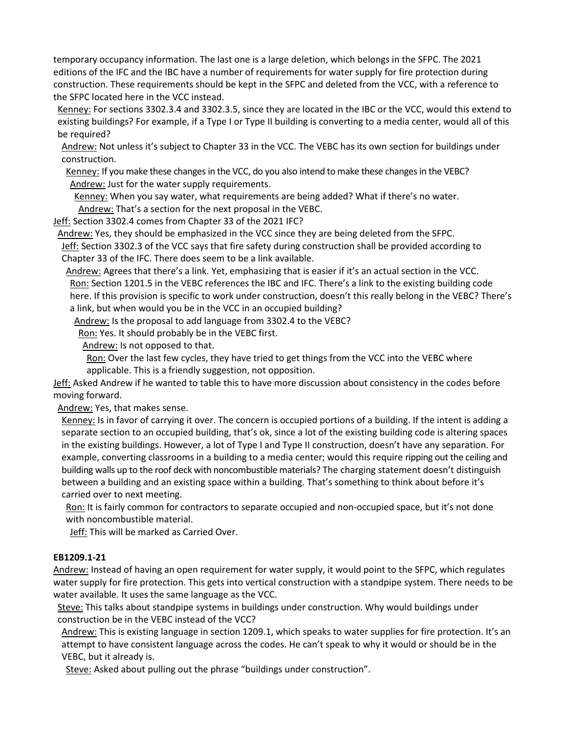temporary occupancy information. The last one is a large deletion, which belongs in the SFPC. The 2021 editions of the IFC and the IBC have a number of requirements for water supply for fire protection during construction. These requirements should be kept in the SFPC and deleted from the VCC, with a reference to the SFPC located here in the VCC instead.

Kenney: For sections 3302.3.4 and 3302.3.5, since they are located in the IBC or the VCC, would this extend to existing buildings? For example, if a Type I or Type II building is converting to a media center, would all of this be required?

Andrew: Not unless it's subject to Chapter 33 in the VCC. The VEBC has its own section for buildings under construction.

Kenney: If you make these changes in the VCC, do you also intend to make these changes in the VEBC? Andrew: Just for the water supply requirements.

Kenney: When you say water, what requirements are being added? What if there's no water.

Andrew: That's a section for the next proposal in the VEBC.

Jeff: Section 3302.4 comes from Chapter 33 of the 2021 IFC?

Andrew: Yes, they should be emphasized in the VCC since they are being deleted from the SFPC.

Jeff: Section 3302.3 of the VCC says that fire safety during construction shall be provided according to Chapter 33 of the IFC. There does seem to be a link available.

Andrew: Agrees that there's a link. Yet, emphasizing that is easier if it's an actual section in the VCC. Ron: Section 1201.5 in the VEBC references the IBC and IFC. There's a link to the existing building code here. If this provision is specific to work under construction, doesn't this really belong in the VEBC? There's a link, but when would you be in the VCC in an occupied building?

Andrew: Is the proposal to add language from 3302.4 to the VEBC?

Ron: Yes. It should probably be in the VEBC first.

Andrew: Is not opposed to that.

Ron: Over the last few cycles, they have tried to get things from the VCC into the VEBC where applicable. This is a friendly suggestion, not opposition.

Jeff: Asked Andrew if he wanted to table this to have more discussion about consistency in the codes before moving forward.

Andrew: Yes, that makes sense.

Kenney: Is in favor of carrying it over. The concern is occupied portions of a building. If the intent is adding a separate section to an occupied building, that's ok, since a lot of the existing building code is altering spaces in the existing buildings. However, a lot of Type I and Type II construction, doesn't have any separation. For example, converting classrooms in a building to a media center; would this require ripping out the ceiling and building walls up to the roof deck with noncombustible materials? The charging statement doesn't distinguish between a building and an existing space within a building. That's something to think about before it's carried over to next meeting.

Ron: It is fairly common for contractors to separate occupied and non-occupied space, but it's not done with noncombustible material.

Jeff: This will be marked as Carried Over.

## **EB1209.1-21**

Andrew: Instead of having an open requirement for water supply, it would point to the SFPC, which regulates water supply for fire protection. This gets into vertical construction with a standpipe system. There needs to be water available. It uses the same language as the VCC.

Steve: This talks about standpipe systems in buildings under construction. Why would buildings under construction be in the VEBC instead of the VCC?

Andrew: This is existing language in section 1209.1, which speaks to water supplies for fire protection. It's an attempt to have consistent language across the codes. He can't speak to why it would or should be in the VEBC, but it already is.

Steve: Asked about pulling out the phrase "buildings under construction".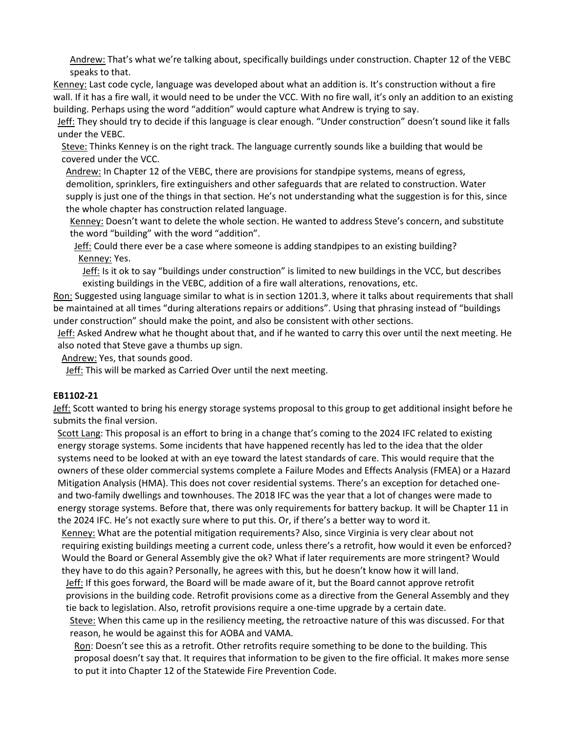Andrew: That's what we're talking about, specifically buildings under construction. Chapter 12 of the VEBC speaks to that.

Kenney: Last code cycle, language was developed about what an addition is. It's construction without a fire wall. If it has a fire wall, it would need to be under the VCC. With no fire wall, it's only an addition to an existing building. Perhaps using the word "addition" would capture what Andrew is trying to say.

Jeff: They should try to decide if this language is clear enough. "Under construction" doesn't sound like it falls under the VEBC.

Steve: Thinks Kenney is on the right track. The language currently sounds like a building that would be covered under the VCC.

Andrew: In Chapter 12 of the VEBC, there are provisions for standpipe systems, means of egress, demolition, sprinklers, fire extinguishers and other safeguards that are related to construction. Water supply is just one of the things in that section. He's not understanding what the suggestion is for this, since the whole chapter has construction related language.

Kenney: Doesn't want to delete the whole section. He wanted to address Steve's concern, and substitute the word "building" with the word "addition".

Jeff: Could there ever be a case where someone is adding standpipes to an existing building? Kenney: Yes.

Jeff: Is it ok to say "buildings under construction" is limited to new buildings in the VCC, but describes existing buildings in the VEBC, addition of a fire wall alterations, renovations, etc.

Ron: Suggested using language similar to what is in section 1201.3, where it talks about requirements that shall be maintained at all times "during alterations repairs or additions". Using that phrasing instead of "buildings under construction" should make the point, and also be consistent with other sections.

Jeff: Asked Andrew what he thought about that, and if he wanted to carry this over until the next meeting. He also noted that Steve gave a thumbs up sign.

Andrew: Yes, that sounds good.

Jeff: This will be marked as Carried Over until the next meeting.

## **EB1102-21**

Jeff: Scott wanted to bring his energy storage systems proposal to this group to get additional insight before he submits the final version.

Scott Lang: This proposal is an effort to bring in a change that's coming to the 2024 IFC related to existing energy storage systems. Some incidents that have happened recently has led to the idea that the older systems need to be looked at with an eye toward the latest standards of care. This would require that the owners of these older commercial systems complete a Failure Modes and Effects Analysis (FMEA) or a Hazard Mitigation Analysis (HMA). This does not cover residential systems. There's an exception for detached oneand two-family dwellings and townhouses. The 2018 IFC was the year that a lot of changes were made to energy storage systems. Before that, there was only requirements for battery backup. It will be Chapter 11 in the 2024 IFC. He's not exactly sure where to put this. Or, if there's a better way to word it.

Kenney: What are the potential mitigation requirements? Also, since Virginia is very clear about not requiring existing buildings meeting a current code, unless there's a retrofit, how would it even be enforced? Would the Board or General Assembly give the ok? What if later requirements are more stringent? Would they have to do this again? Personally, he agrees with this, but he doesn't know how it will land.

Jeff: If this goes forward, the Board will be made aware of it, but the Board cannot approve retrofit provisions in the building code. Retrofit provisions come as a directive from the General Assembly and they tie back to legislation. Also, retrofit provisions require a one-time upgrade by a certain date.

Steve: When this came up in the resiliency meeting, the retroactive nature of this was discussed. For that reason, he would be against this for AOBA and VAMA.

Ron: Doesn't see this as a retrofit. Other retrofits require something to be done to the building. This proposal doesn't say that. It requires that information to be given to the fire official. It makes more sense to put it into Chapter 12 of the Statewide Fire Prevention Code.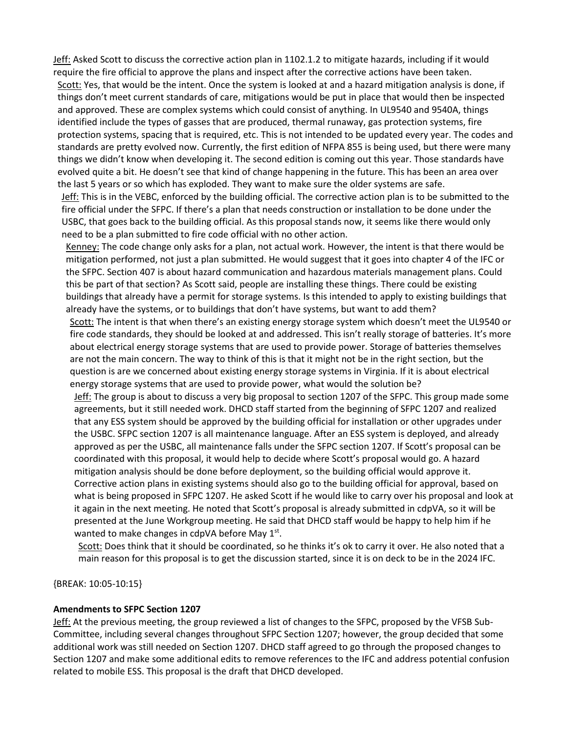Jeff: Asked Scott to discuss the corrective action plan in 1102.1.2 to mitigate hazards, including if it would require the fire official to approve the plans and inspect after the corrective actions have been taken. Scott: Yes, that would be the intent. Once the system is looked at and a hazard mitigation analysis is done, if things don't meet current standards of care, mitigations would be put in place that would then be inspected and approved. These are complex systems which could consist of anything. In UL9540 and 9540A, things identified include the types of gasses that are produced, thermal runaway, gas protection systems, fire protection systems, spacing that is required, etc. This is not intended to be updated every year. The codes and standards are pretty evolved now. Currently, the first edition of NFPA 855 is being used, but there were many things we didn't know when developing it. The second edition is coming out this year. Those standards have evolved quite a bit. He doesn't see that kind of change happening in the future. This has been an area over the last 5 years or so which has exploded. They want to make sure the older systems are safe.

Jeff: This is in the VEBC, enforced by the building official. The corrective action plan is to be submitted to the fire official under the SFPC. If there's a plan that needs construction or installation to be done under the USBC, that goes back to the building official. As this proposal stands now, it seems like there would only need to be a plan submitted to fire code official with no other action.

Kenney: The code change only asks for a plan, not actual work. However, the intent is that there would be mitigation performed, not just a plan submitted. He would suggest that it goes into chapter 4 of the IFC or the SFPC. Section 407 is about hazard communication and hazardous materials management plans. Could this be part of that section? As Scott said, people are installing these things. There could be existing buildings that already have a permit for storage systems. Is this intended to apply to existing buildings that already have the systems, or to buildings that don't have systems, but want to add them?

Scott: The intent is that when there's an existing energy storage system which doesn't meet the UL9540 or fire code standards, they should be looked at and addressed. This isn't really storage of batteries. It's more about electrical energy storage systems that are used to provide power. Storage of batteries themselves are not the main concern. The way to think of this is that it might not be in the right section, but the question is are we concerned about existing energy storage systems in Virginia. If it is about electrical energy storage systems that are used to provide power, what would the solution be?

Jeff: The group is about to discuss a very big proposal to section 1207 of the SFPC. This group made some agreements, but it still needed work. DHCD staff started from the beginning of SFPC 1207 and realized that any ESS system should be approved by the building official for installation or other upgrades under the USBC. SFPC section 1207 is all maintenance language. After an ESS system is deployed, and already approved as per the USBC, all maintenance falls under the SFPC section 1207. If Scott's proposal can be coordinated with this proposal, it would help to decide where Scott's proposal would go. A hazard mitigation analysis should be done before deployment, so the building official would approve it. Corrective action plans in existing systems should also go to the building official for approval, based on what is being proposed in SFPC 1207. He asked Scott if he would like to carry over his proposal and look at it again in the next meeting. He noted that Scott's proposal is already submitted in cdpVA, so it will be presented at the June Workgroup meeting. He said that DHCD staff would be happy to help him if he wanted to make changes in cdpVA before May  $1<sup>st</sup>$ .

Scott: Does think that it should be coordinated, so he thinks it's ok to carry it over. He also noted that a main reason for this proposal is to get the discussion started, since it is on deck to be in the 2024 IFC.

{BREAK: 10:05-10:15}

### **Amendments to SFPC Section 1207**

Jeff: At the previous meeting, the group reviewed a list of changes to the SFPC, proposed by the VFSB Sub-Committee, including several changes throughout SFPC Section 1207; however, the group decided that some additional work was still needed on Section 1207. DHCD staff agreed to go through the proposed changes to Section 1207 and make some additional edits to remove references to the IFC and address potential confusion related to mobile ESS. This proposal is the draft that DHCD developed.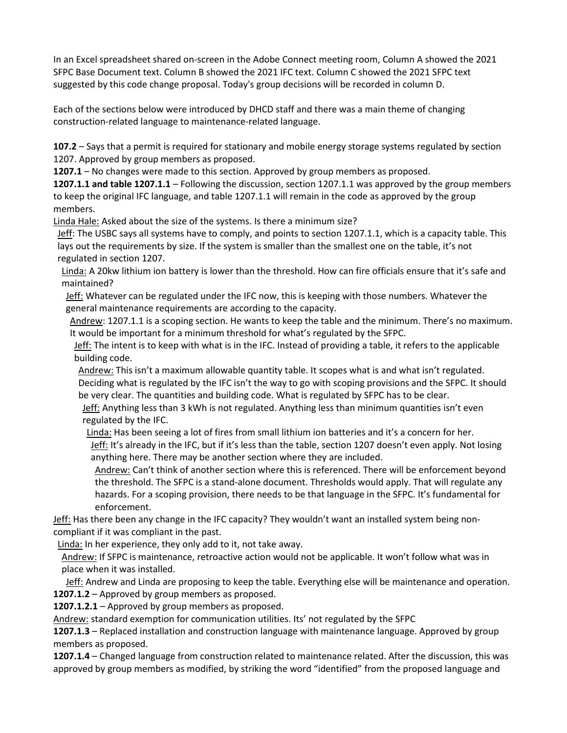In an Excel spreadsheet shared on-screen in the Adobe Connect meeting room, Column A showed the 2021 SFPC Base Document text. Column B showed the 2021 IFC text. Column C showed the 2021 SFPC text suggested by this code change proposal. Today's group decisions will be recorded in column D.

Each of the sections below were introduced by DHCD staff and there was a main theme of changing construction-related language to maintenance-related language.

**107.2** – Says that a permit is required for stationary and mobile energy storage systems regulated by section 1207. Approved by group members as proposed.

**1207.1** – No changes were made to this section. Approved by group members as proposed.

**1207.1.1 and table 1207.1.1** – Following the discussion, section 1207.1.1 was approved by the group members to keep the original IFC language, and table 1207.1.1 will remain in the code as approved by the group members.

Linda Hale: Asked about the size of the systems. Is there a minimum size?

Jeff: The USBC says all systems have to comply, and points to section 1207.1.1, which is a capacity table. This lays out the requirements by size. If the system is smaller than the smallest one on the table, it's not regulated in section 1207.

Linda: A 20kw lithium ion battery is lower than the threshold. How can fire officials ensure that it's safe and maintained?

Jeff: Whatever can be regulated under the IFC now, this is keeping with those numbers. Whatever the general maintenance requirements are according to the capacity.

Andrew: 1207.1.1 is a scoping section. He wants to keep the table and the minimum. There's no maximum. It would be important for a minimum threshold for what's regulated by the SFPC.

Jeff: The intent is to keep with what is in the IFC. Instead of providing a table, it refers to the applicable building code.

Andrew: This isn't a maximum allowable quantity table. It scopes what is and what isn't regulated. Deciding what is regulated by the IFC isn't the way to go with scoping provisions and the SFPC. It should be very clear. The quantities and building code. What is regulated by SFPC has to be clear.

Jeff: Anything less than 3 kWh is not regulated. Anything less than minimum quantities isn't even regulated by the IFC.

Linda: Has been seeing a lot of fires from small lithium ion batteries and it's a concern for her. Jeff: It's already in the IFC, but if it's less than the table, section 1207 doesn't even apply. Not losing anything here. There may be another section where they are included.

Andrew: Can't think of another section where this is referenced. There will be enforcement beyond the threshold. The SFPC is a stand-alone document. Thresholds would apply. That will regulate any hazards. For a scoping provision, there needs to be that language in the SFPC. It's fundamental for enforcement.

Jeff: Has there been any change in the IFC capacity? They wouldn't want an installed system being noncompliant if it was compliant in the past.

Linda: In her experience, they only add to it, not take away.

Andrew: If SFPC is maintenance, retroactive action would not be applicable. It won't follow what was in place when it was installed.

Jeff: Andrew and Linda are proposing to keep the table. Everything else will be maintenance and operation. **1207.1.2** – Approved by group members as proposed.

**1207.1.2.1** – Approved by group members as proposed.

Andrew: standard exemption for communication utilities. Its' not regulated by the SFPC

**1207.1.3** – Replaced installation and construction language with maintenance language. Approved by group members as proposed.

**1207.1.4** – Changed language from construction related to maintenance related. After the discussion, this was approved by group members as modified, by striking the word "identified" from the proposed language and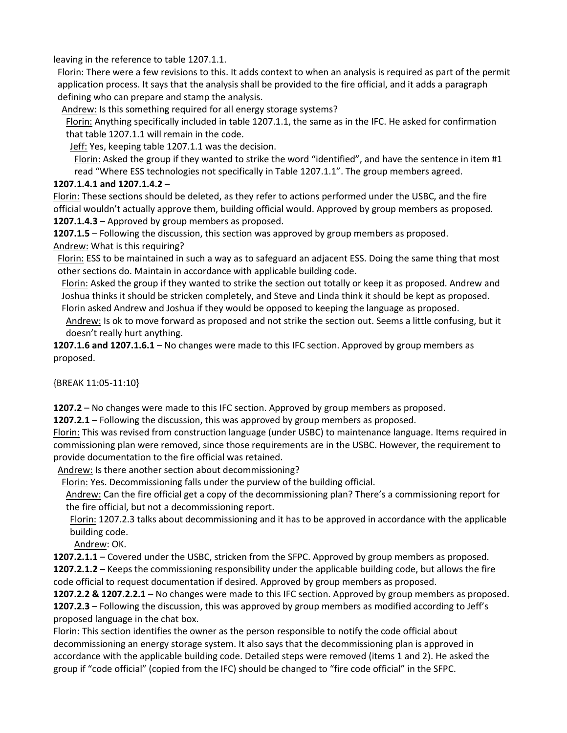leaving in the reference to table 1207.1.1.

Florin: There were a few revisions to this. It adds context to when an analysis is required as part of the permit application process. It says that the analysis shall be provided to the fire official, and it adds a paragraph defining who can prepare and stamp the analysis.

Andrew: Is this something required for all energy storage systems?

Florin: Anything specifically included in table 1207.1.1, the same as in the IFC. He asked for confirmation that table 1207.1.1 will remain in the code.

Jeff: Yes, keeping table 1207.1.1 was the decision.

Florin: Asked the group if they wanted to strike the word "identified", and have the sentence in item #1 read "Where ESS technologies not specifically in Table 1207.1.1". The group members agreed.

# **1207.1.4.1 and 1207.1.4.2** –

Florin: These sections should be deleted, as they refer to actions performed under the USBC, and the fire official wouldn't actually approve them, building official would. Approved by group members as proposed.

**1207.1.4.3** – Approved by group members as proposed.

**1207.1.5** – Following the discussion, this section was approved by group members as proposed. Andrew: What is this requiring?

Florin: ESS to be maintained in such a way as to safeguard an adjacent ESS. Doing the same thing that most other sections do. Maintain in accordance with applicable building code.

Florin: Asked the group if they wanted to strike the section out totally or keep it as proposed. Andrew and Joshua thinks it should be stricken completely, and Steve and Linda think it should be kept as proposed. Florin asked Andrew and Joshua if they would be opposed to keeping the language as proposed.

Andrew: Is ok to move forward as proposed and not strike the section out. Seems a little confusing, but it doesn't really hurt anything.

**1207.1.6 and 1207.1.6.1** – No changes were made to this IFC section. Approved by group members as proposed.

{BREAK 11:05-11:10}

**1207.2** – No changes were made to this IFC section. Approved by group members as proposed.

**1207.2.1** – Following the discussion, this was approved by group members as proposed.

Florin: This was revised from construction language (under USBC) to maintenance language. Items required in commissioning plan were removed, since those requirements are in the USBC. However, the requirement to provide documentation to the fire official was retained.

Andrew: Is there another section about decommissioning?

Florin: Yes. Decommissioning falls under the purview of the building official.

Andrew: Can the fire official get a copy of the decommissioning plan? There's a commissioning report for the fire official, but not a decommissioning report.

Florin: 1207.2.3 talks about decommissioning and it has to be approved in accordance with the applicable building code.

Andrew: OK.

**1207.2.1.1** – Covered under the USBC, stricken from the SFPC. Approved by group members as proposed. **1207.2.1.2** – Keeps the commissioning responsibility under the applicable building code, but allows the fire code official to request documentation if desired. Approved by group members as proposed.

**1207.2.2 & 1207.2.2.1** – No changes were made to this IFC section. Approved by group members as proposed. **1207.2.3** – Following the discussion, this was approved by group members as modified according to Jeff's proposed language in the chat box.

Florin: This section identifies the owner as the person responsible to notify the code official about decommissioning an energy storage system. It also says that the decommissioning plan is approved in accordance with the applicable building code. Detailed steps were removed (items 1 and 2). He asked the group if "code official" (copied from the IFC) should be changed to "fire code official" in the SFPC.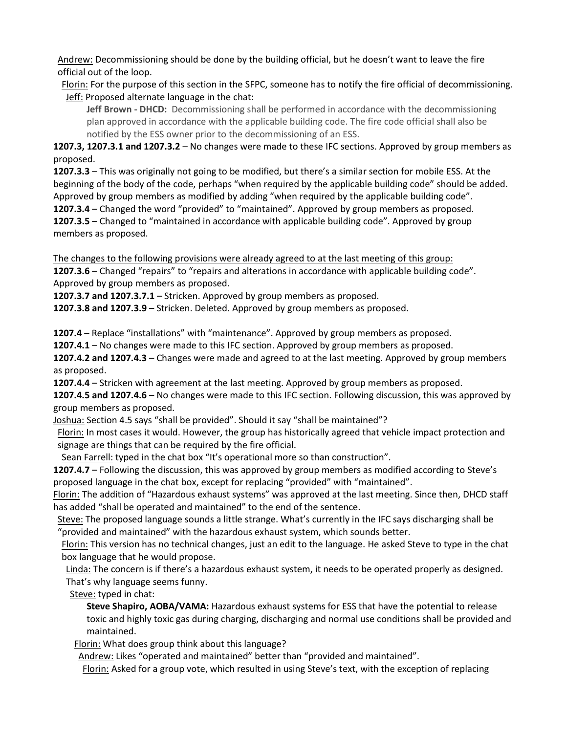Andrew: Decommissioning should be done by the building official, but he doesn't want to leave the fire official out of the loop.

Florin: For the purpose of this section in the SFPC, someone has to notify the fire official of decommissioning. Jeff: Proposed alternate language in the chat:

**Jeff Brown - DHCD:** Decommissioning shall be performed in accordance with the decommissioning plan approved in accordance with the applicable building code. The fire code official shall also be notified by the ESS owner prior to the decommissioning of an ESS.

**1207.3, 1207.3.1 and 1207.3.2** – No changes were made to these IFC sections. Approved by group members as proposed.

**1207.3.3** – This was originally not going to be modified, but there's a similar section for mobile ESS. At the beginning of the body of the code, perhaps "when required by the applicable building code" should be added. Approved by group members as modified by adding "when required by the applicable building code".

**1207.3.4** – Changed the word "provided" to "maintained". Approved by group members as proposed. **1207.3.5** – Changed to "maintained in accordance with applicable building code". Approved by group members as proposed.

The changes to the following provisions were already agreed to at the last meeting of this group: **1207.3.6** – Changed "repairs" to "repairs and alterations in accordance with applicable building code". Approved by group members as proposed.

**1207.3.7 and 1207.3.7.1** – Stricken. Approved by group members as proposed.

**1207.3.8 and 1207.3.9** – Stricken. Deleted. Approved by group members as proposed.

**1207.4** – Replace "installations" with "maintenance". Approved by group members as proposed.

**1207.4.1** – No changes were made to this IFC section. Approved by group members as proposed.

**1207.4.2 and 1207.4.3** – Changes were made and agreed to at the last meeting. Approved by group members as proposed.

**1207.4.4** – Stricken with agreement at the last meeting. Approved by group members as proposed.

**1207.4.5 and 1207.4.6** – No changes were made to this IFC section. Following discussion, this was approved by group members as proposed.

Joshua: Section 4.5 says "shall be provided". Should it say "shall be maintained"?

Florin: In most cases it would. However, the group has historically agreed that vehicle impact protection and signage are things that can be required by the fire official.

Sean Farrell: typed in the chat box "It's operational more so than construction".

**1207.4.7** – Following the discussion, this was approved by group members as modified according to Steve's proposed language in the chat box, except for replacing "provided" with "maintained".

Florin: The addition of "Hazardous exhaust systems" was approved at the last meeting. Since then, DHCD staff has added "shall be operated and maintained" to the end of the sentence.

Steve: The proposed language sounds a little strange. What's currently in the IFC says discharging shall be "provided and maintained" with the hazardous exhaust system, which sounds better.

Florin: This version has no technical changes, just an edit to the language. He asked Steve to type in the chat box language that he would propose.

Linda: The concern is if there's a hazardous exhaust system, it needs to be operated properly as designed. That's why language seems funny.

Steve: typed in chat:

**Steve Shapiro, AOBA/VAMA:** Hazardous exhaust systems for ESS that have the potential to release toxic and highly toxic gas during charging, discharging and normal use conditions shall be provided and maintained.

Florin: What does group think about this language?

Andrew: Likes "operated and maintained" better than "provided and maintained".

Florin: Asked for a group vote, which resulted in using Steve's text, with the exception of replacing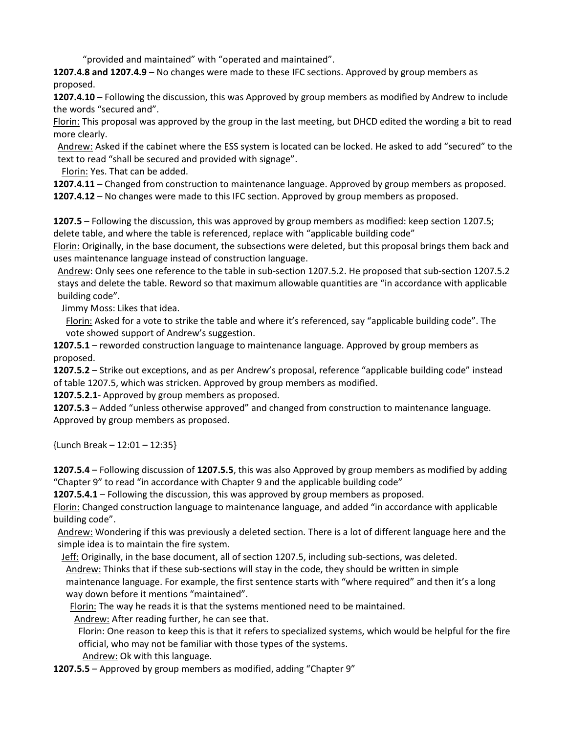"provided and maintained" with "operated and maintained".

**1207.4.8 and 1207.4.9** – No changes were made to these IFC sections. Approved by group members as proposed.

**1207.4.10** – Following the discussion, this was Approved by group members as modified by Andrew to include the words "secured and".

Florin: This proposal was approved by the group in the last meeting, but DHCD edited the wording a bit to read more clearly.

Andrew: Asked if the cabinet where the ESS system is located can be locked. He asked to add "secured" to the text to read "shall be secured and provided with signage".

Florin: Yes. That can be added.

**1207.4.11** – Changed from construction to maintenance language. Approved by group members as proposed.

**1207.4.12** – No changes were made to this IFC section. Approved by group members as proposed.

**1207.5** – Following the discussion, this was approved by group members as modified: keep section 1207.5; delete table, and where the table is referenced, replace with "applicable building code"

Florin: Originally, in the base document, the subsections were deleted, but this proposal brings them back and uses maintenance language instead of construction language.

Andrew: Only sees one reference to the table in sub-section 1207.5.2. He proposed that sub-section 1207.5.2 stays and delete the table. Reword so that maximum allowable quantities are "in accordance with applicable building code".

Jimmy Moss: Likes that idea.

Florin: Asked for a vote to strike the table and where it's referenced, say "applicable building code". The vote showed support of Andrew's suggestion.

**1207.5.1** – reworded construction language to maintenance language. Approved by group members as proposed.

**1207.5.2** – Strike out exceptions, and as per Andrew's proposal, reference "applicable building code" instead of table 1207.5, which was stricken. Approved by group members as modified.

**1207.5.2.1**- Approved by group members as proposed.

**1207.5.3** – Added "unless otherwise approved" and changed from construction to maintenance language. Approved by group members as proposed.

{Lunch Break – 12:01 – 12:35}

**1207.5.4** – Following discussion of **1207.5.5**, this was also Approved by group members as modified by adding "Chapter 9" to read "in accordance with Chapter 9 and the applicable building code"

**1207.5.4.1** – Following the discussion, this was approved by group members as proposed.

Florin: Changed construction language to maintenance language, and added "in accordance with applicable building code".

Andrew: Wondering if this was previously a deleted section. There is a lot of different language here and the simple idea is to maintain the fire system.

Jeff: Originally, in the base document, all of section 1207.5, including sub-sections, was deleted.

Andrew: Thinks that if these sub-sections will stay in the code, they should be written in simple maintenance language. For example, the first sentence starts with "where required" and then it's a long way down before it mentions "maintained".

Florin: The way he reads it is that the systems mentioned need to be maintained.

Andrew: After reading further, he can see that.

Florin: One reason to keep this is that it refers to specialized systems, which would be helpful for the fire official, who may not be familiar with those types of the systems.

Andrew: Ok with this language.

**1207.5.5** – Approved by group members as modified, adding "Chapter 9"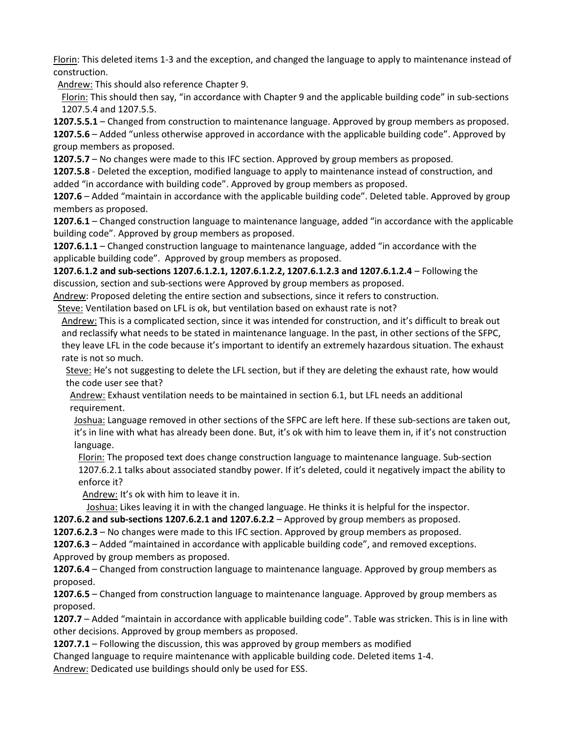Florin: This deleted items 1-3 and the exception, and changed the language to apply to maintenance instead of construction.

Andrew: This should also reference Chapter 9.

Florin: This should then say, "in accordance with Chapter 9 and the applicable building code" in sub-sections 1207.5.4 and 1207.5.5.

**1207.5.5.1** – Changed from construction to maintenance language. Approved by group members as proposed.

**1207.5.6** – Added "unless otherwise approved in accordance with the applicable building code". Approved by group members as proposed.

**1207.5.7** – No changes were made to this IFC section. Approved by group members as proposed.

**1207.5.8** - Deleted the exception, modified language to apply to maintenance instead of construction, and added "in accordance with building code". Approved by group members as proposed.

**1207.6** – Added "maintain in accordance with the applicable building code". Deleted table. Approved by group members as proposed.

**1207.6.1** – Changed construction language to maintenance language, added "in accordance with the applicable building code". Approved by group members as proposed.

**1207.6.1.1** – Changed construction language to maintenance language, added "in accordance with the applicable building code". Approved by group members as proposed.

**1207.6.1.2 and sub-sections 1207.6.1.2.1, 1207.6.1.2.2, 1207.6.1.2.3 and 1207.6.1.2.4** – Following the discussion, section and sub-sections were Approved by group members as proposed.

Andrew: Proposed deleting the entire section and subsections, since it refers to construction.

Steve: Ventilation based on LFL is ok, but ventilation based on exhaust rate is not?

Andrew: This is a complicated section, since it was intended for construction, and it's difficult to break out and reclassify what needs to be stated in maintenance language. In the past, in other sections of the SFPC, they leave LFL in the code because it's important to identify an extremely hazardous situation. The exhaust rate is not so much.

Steve: He's not suggesting to delete the LFL section, but if they are deleting the exhaust rate, how would the code user see that?

Andrew: Exhaust ventilation needs to be maintained in section 6.1, but LFL needs an additional requirement.

Joshua: Language removed in other sections of the SFPC are left here. If these sub-sections are taken out, it's in line with what has already been done. But, it's ok with him to leave them in, if it's not construction language.

Florin: The proposed text does change construction language to maintenance language. Sub-section 1207.6.2.1 talks about associated standby power. If it's deleted, could it negatively impact the ability to enforce it?

Andrew: It's ok with him to leave it in.

Joshua: Likes leaving it in with the changed language. He thinks it is helpful for the inspector.

**1207.6.2 and sub-sections 1207.6.2.1 and 1207.6.2.2** – Approved by group members as proposed.

**1207.6.2.3** – No changes were made to this IFC section. Approved by group members as proposed.

**1207.6.3** – Added "maintained in accordance with applicable building code", and removed exceptions. Approved by group members as proposed.

**1207.6.4** – Changed from construction language to maintenance language. Approved by group members as proposed.

**1207.6.5** – Changed from construction language to maintenance language. Approved by group members as proposed.

**1207.7** – Added "maintain in accordance with applicable building code". Table was stricken. This is in line with other decisions. Approved by group members as proposed.

**1207.7.1** – Following the discussion, this was approved by group members as modified

Changed language to require maintenance with applicable building code. Deleted items 1-4. Andrew: Dedicated use buildings should only be used for ESS.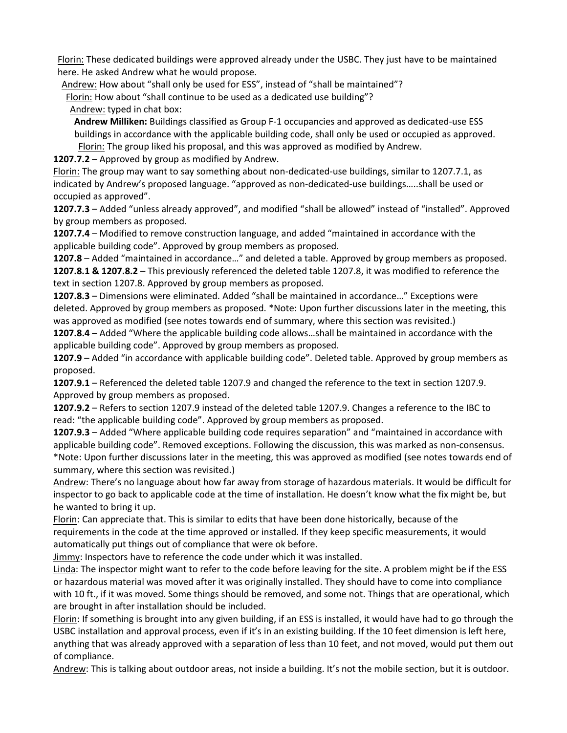Florin: These dedicated buildings were approved already under the USBC. They just have to be maintained here. He asked Andrew what he would propose.

Andrew: How about "shall only be used for ESS", instead of "shall be maintained"?

Florin: How about "shall continue to be used as a dedicated use building"?

Andrew: typed in chat box:

**Andrew Milliken:** Buildings classified as Group F-1 occupancies and approved as dedicated-use ESS buildings in accordance with the applicable building code, shall only be used or occupied as approved.

Florin: The group liked his proposal, and this was approved as modified by Andrew.

**1207.7.2** – Approved by group as modified by Andrew.

Florin: The group may want to say something about non-dedicated-use buildings, similar to 1207.7.1, as indicated by Andrew's proposed language. "approved as non-dedicated-use buildings…..shall be used or occupied as approved".

**1207.7.3** – Added "unless already approved", and modified "shall be allowed" instead of "installed". Approved by group members as proposed.

**1207.7.4** – Modified to remove construction language, and added "maintained in accordance with the applicable building code". Approved by group members as proposed.

**1207.8** – Added "maintained in accordance…" and deleted a table. Approved by group members as proposed. **1207.8.1 & 1207.8.2** – This previously referenced the deleted table 1207.8, it was modified to reference the text in section 1207.8. Approved by group members as proposed.

**1207.8.3** – Dimensions were eliminated. Added "shall be maintained in accordance…" Exceptions were deleted. Approved by group members as proposed. \*Note: Upon further discussions later in the meeting, this was approved as modified (see notes towards end of summary, where this section was revisited.)

**1207.8.4** – Added "Where the applicable building code allows…shall be maintained in accordance with the applicable building code". Approved by group members as proposed.

**1207.9** – Added "in accordance with applicable building code". Deleted table. Approved by group members as proposed.

**1207.9.1** – Referenced the deleted table 1207.9 and changed the reference to the text in section 1207.9. Approved by group members as proposed.

**1207.9.2** – Refers to section 1207.9 instead of the deleted table 1207.9. Changes a reference to the IBC to read: "the applicable building code". Approved by group members as proposed.

**1207.9.3** – Added "Where applicable building code requires separation" and "maintained in accordance with applicable building code". Removed exceptions. Following the discussion, this was marked as non-consensus. \*Note: Upon further discussions later in the meeting, this was approved as modified (see notes towards end of summary, where this section was revisited.)

Andrew: There's no language about how far away from storage of hazardous materials. It would be difficult for inspector to go back to applicable code at the time of installation. He doesn't know what the fix might be, but he wanted to bring it up.

Florin: Can appreciate that. This is similar to edits that have been done historically, because of the requirements in the code at the time approved or installed. If they keep specific measurements, it would automatically put things out of compliance that were ok before.

Jimmy: Inspectors have to reference the code under which it was installed.

Linda: The inspector might want to refer to the code before leaving for the site. A problem might be if the ESS or hazardous material was moved after it was originally installed. They should have to come into compliance with 10 ft., if it was moved. Some things should be removed, and some not. Things that are operational, which are brought in after installation should be included.

Florin: If something is brought into any given building, if an ESS is installed, it would have had to go through the USBC installation and approval process, even if it's in an existing building. If the 10 feet dimension is left here, anything that was already approved with a separation of less than 10 feet, and not moved, would put them out of compliance.

Andrew: This is talking about outdoor areas, not inside a building. It's not the mobile section, but it is outdoor.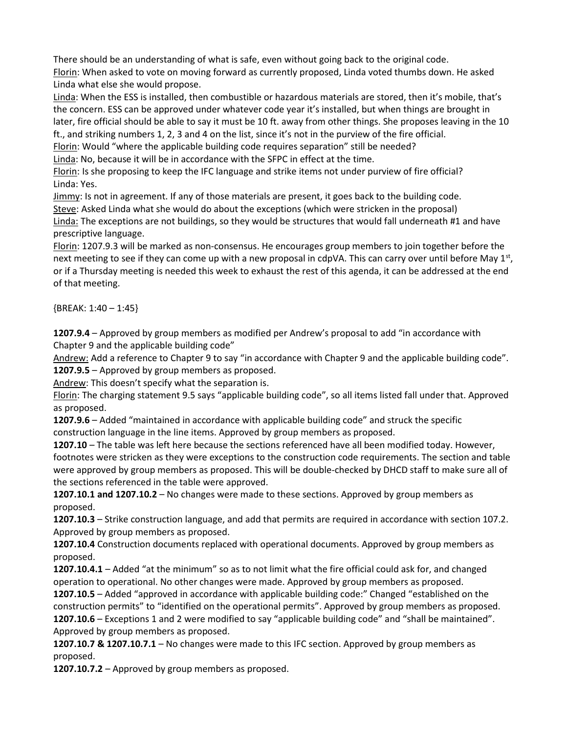There should be an understanding of what is safe, even without going back to the original code. Florin: When asked to vote on moving forward as currently proposed, Linda voted thumbs down. He asked Linda what else she would propose.

Linda: When the ESS is installed, then combustible or hazardous materials are stored, then it's mobile, that's the concern. ESS can be approved under whatever code year it's installed, but when things are brought in later, fire official should be able to say it must be 10 ft. away from other things. She proposes leaving in the 10 ft., and striking numbers 1, 2, 3 and 4 on the list, since it's not in the purview of the fire official.

Florin: Would "where the applicable building code requires separation" still be needed?

Linda: No, because it will be in accordance with the SFPC in effect at the time.

Florin: Is she proposing to keep the IFC language and strike items not under purview of fire official? Linda: Yes.

Jimmy: Is not in agreement. If any of those materials are present, it goes back to the building code. Steve: Asked Linda what she would do about the exceptions (which were stricken in the proposal) Linda: The exceptions are not buildings, so they would be structures that would fall underneath #1 and have prescriptive language.

Florin: 1207.9.3 will be marked as non-consensus. He encourages group members to join together before the next meeting to see if they can come up with a new proposal in cdpVA. This can carry over until before May 1<sup>st</sup>, or if a Thursday meeting is needed this week to exhaust the rest of this agenda, it can be addressed at the end of that meeting.

 ${BREAK: 1:40 - 1:45}$ 

**1207.9.4** – Approved by group members as modified per Andrew's proposal to add "in accordance with Chapter 9 and the applicable building code"

Andrew: Add a reference to Chapter 9 to say "in accordance with Chapter 9 and the applicable building code". **1207.9.5** – Approved by group members as proposed.

Andrew: This doesn't specify what the separation is.

Florin: The charging statement 9.5 says "applicable building code", so all items listed fall under that. Approved as proposed.

**1207.9.6** – Added "maintained in accordance with applicable building code" and struck the specific construction language in the line items. Approved by group members as proposed.

**1207.10** – The table was left here because the sections referenced have all been modified today. However, footnotes were stricken as they were exceptions to the construction code requirements. The section and table were approved by group members as proposed. This will be double-checked by DHCD staff to make sure all of the sections referenced in the table were approved.

**1207.10.1 and 1207.10.2** – No changes were made to these sections. Approved by group members as proposed.

**1207.10.3** – Strike construction language, and add that permits are required in accordance with section 107.2. Approved by group members as proposed.

**1207.10.4** Construction documents replaced with operational documents. Approved by group members as proposed.

**1207.10.4.1** – Added "at the minimum" so as to not limit what the fire official could ask for, and changed operation to operational. No other changes were made. Approved by group members as proposed.

**1207.10.5** – Added "approved in accordance with applicable building code:" Changed "established on the construction permits" to "identified on the operational permits". Approved by group members as proposed. **1207.10.6** – Exceptions 1 and 2 were modified to say "applicable building code" and "shall be maintained". Approved by group members as proposed.

**1207.10.7 & 1207.10.7.1** – No changes were made to this IFC section. Approved by group members as proposed.

**1207.10.7.2** – Approved by group members as proposed.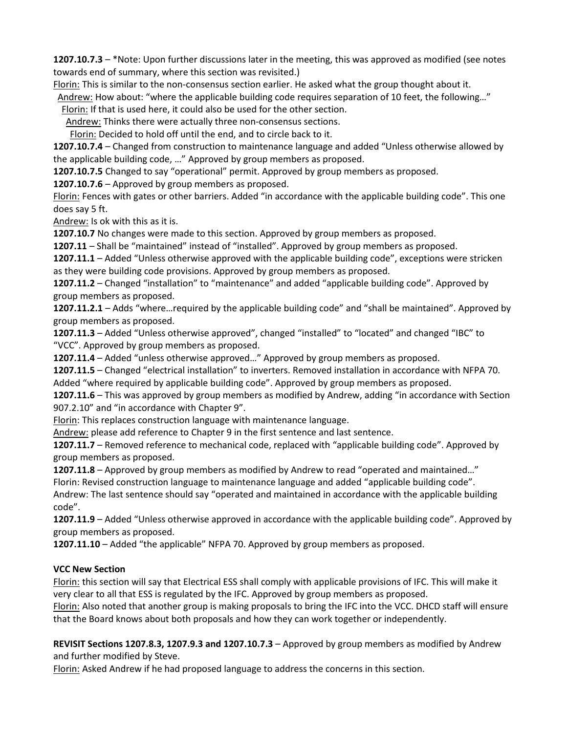**1207.10.7.3** – \*Note: Upon further discussions later in the meeting, this was approved as modified (see notes towards end of summary, where this section was revisited.)

Florin: This is similar to the non-consensus section earlier. He asked what the group thought about it.

Andrew: How about: "where the applicable building code requires separation of 10 feet, the following…"

Florin: If that is used here, it could also be used for the other section.

Andrew: Thinks there were actually three non-consensus sections.

Florin: Decided to hold off until the end, and to circle back to it.

**1207.10.7.4** – Changed from construction to maintenance language and added "Unless otherwise allowed by the applicable building code, …" Approved by group members as proposed.

**1207.10.7.5** Changed to say "operational" permit. Approved by group members as proposed.

**1207.10.7.6** – Approved by group members as proposed.

Florin: Fences with gates or other barriers. Added "in accordance with the applicable building code". This one does say 5 ft.

Andrew: Is ok with this as it is.

**1207.10.7** No changes were made to this section. Approved by group members as proposed.

**1207.11** – Shall be "maintained" instead of "installed". Approved by group members as proposed.

**1207.11.1** – Added "Unless otherwise approved with the applicable building code", exceptions were stricken as they were building code provisions. Approved by group members as proposed.

**1207.11.2** – Changed "installation" to "maintenance" and added "applicable building code". Approved by group members as proposed.

**1207.11.2.1** – Adds "where…required by the applicable building code" and "shall be maintained". Approved by group members as proposed.

**1207.11.3** – Added "Unless otherwise approved", changed "installed" to "located" and changed "IBC" to "VCC". Approved by group members as proposed.

**1207.11.4** – Added "unless otherwise approved…" Approved by group members as proposed.

**1207.11.5** – Changed "electrical installation" to inverters. Removed installation in accordance with NFPA 70. Added "where required by applicable building code". Approved by group members as proposed.

**1207.11.6** – This was approved by group members as modified by Andrew, adding "in accordance with Section 907.2.10" and "in accordance with Chapter 9".

Florin: This replaces construction language with maintenance language.

Andrew: please add reference to Chapter 9 in the first sentence and last sentence.

**1207.11.7** – Removed reference to mechanical code, replaced with "applicable building code". Approved by group members as proposed.

**1207.11.8** – Approved by group members as modified by Andrew to read "operated and maintained…" Florin: Revised construction language to maintenance language and added "applicable building code".

Andrew: The last sentence should say "operated and maintained in accordance with the applicable building code".

**1207.11.9** – Added "Unless otherwise approved in accordance with the applicable building code". Approved by group members as proposed.

**1207.11.10** – Added "the applicable" NFPA 70. Approved by group members as proposed.

## **VCC New Section**

Florin: this section will say that Electrical ESS shall comply with applicable provisions of IFC. This will make it very clear to all that ESS is regulated by the IFC. Approved by group members as proposed.

Florin: Also noted that another group is making proposals to bring the IFC into the VCC. DHCD staff will ensure that the Board knows about both proposals and how they can work together or independently.

**REVISIT Sections 1207.8.3, 1207.9.3 and 1207.10.7.3** – Approved by group members as modified by Andrew and further modified by Steve.

Florin: Asked Andrew if he had proposed language to address the concerns in this section.